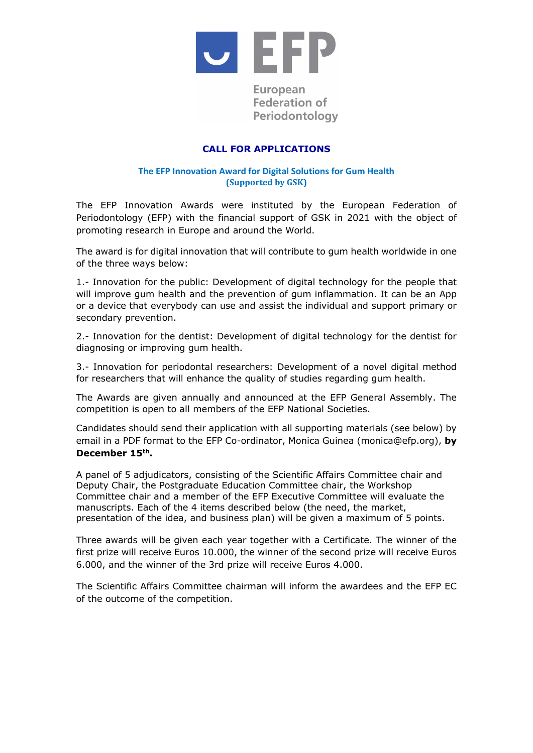

# European **Federation of** Periodontology

# **CALL FOR APPLICATIONS**

### **The EFP Innovation Award for Digital Solutions for Gum Health (Supported by GSK)**

The EFP Innovation Awards were instituted by the European Federation of Periodontology (EFP) with the financial support of GSK in 2021 with the object of promoting research in Europe and around the World.

The award is for digital innovation that will contribute to gum health worldwide in one of the three ways below:

1.- Innovation for the public: Development of digital technology for the people that will improve gum health and the prevention of gum inflammation. It can be an App or a device that everybody can use and assist the individual and support primary or secondary prevention.

2.- Innovation for the dentist: Development of digital technology for the dentist for diagnosing or improving gum health.

3.- Innovation for periodontal researchers: Development of a novel digital method for researchers that will enhance the quality of studies regarding gum health.

The Awards are given annually and announced at the EFP General Assembly. The competition is open to all members of the EFP National Societies.

Candidates should send their application with all supporting materials (see below) by email in a PDF format to the EFP Co-ordinator, Monica Guinea (monica@efp.org), **by December 15th.**

A panel of 5 adjudicators, consisting of the Scientific Affairs Committee chair and Deputy Chair, the Postgraduate Education Committee chair, the Workshop Committee chair and a member of the EFP Executive Committee will evaluate the manuscripts. Each of the 4 items described below (the need, the market, presentation of the idea, and business plan) will be given a maximum of 5 points.

Three awards will be given each year together with a Certificate. The winner of the first prize will receive Euros 10.000, the winner of the second prize will receive Euros 6.000, and the winner of the 3rd prize will receive Euros 4.000.

The Scientific Affairs Committee chairman will inform the awardees and the EFP EC of the outcome of the competition.